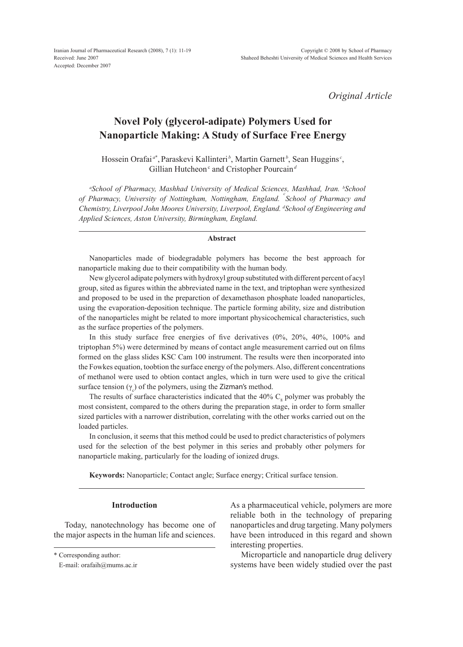Iranian Journal of Pharmaceutical Research (2008), 7 (1): 11-19 Received: June 2007 Accepted: December 2007

*Original Article*

# **Novel Poly (glycerol-adipate) Polymers Used for Nanoparticle Making: A Study of Surface Free Energy**

Hossein Orafai<sup>a\*</sup>, Paraskevi Kallinteri<sup>b</sup>, Martin Garnett<sup>b</sup>, Sean Huggins<sup>*c*</sup>, Gillian Hutcheon<sup>c</sup> and Cristopher Pourcain<sup>d</sup>

<sup>a</sup>School of Pharmacy, Mashhad University of Medical Sciences, Mashhad, Iran. <sup>b</sup>School *of Pharmacy, University of Nottingham, Nottingham, England. <sup>c</sup> School of Pharmacy and Chemistry, Liverpool John Moores University, Liverpool, England. d School of Engineering and Applied Sciences, Aston University, Birmingham, England.* 

#### **Abstract**

Nanoparticles made of biodegradable polymers has become the best approach for nanoparticle making due to their compatibility with the human body.

New glycerol adipate polymers with hydroxyl group substituted with different percent of acyl group, sited as figures within the abbreviated name in the text, and triptophan were synthesized and proposed to be used in the preparction of dexamethason phosphate loaded nanoparticles, using the evaporation-deposition technique. The particle forming ability, size and distribution of the nanoparticles might be related to more important physicochemical characteristics, such as the surface properties of the polymers.

In this study surface free energies of five derivatives (0%, 20%, 40%, 100% and triptophan 5%) were determined by means of contact angle measurement carried out on films formed on the glass slides KSC Cam 100 instrument. The results were then incorporated into the Fowkes equation, toobtion the surface energy of the polymers. Also, different concentrations of methanol were used to obtion contact angles, which in turn were used to give the critical surface tension  $(\gamma_c)$  of the polymers, using the Zizman's method.

The results of surface characteristics indicated that the  $40\%$   $C_8$  polymer was probably the most consistent, compared to the others during the preparation stage, in order to form smaller sized particles with a narrower distribution, correlating with the other works carried out on the loaded particles.

In conclusion, it seems that this method could be used to predict characteristics of polymers used for the selection of the best polymer in this series and probably other polymers for nanoparticle making, particularly for the loading of ionized drugs.

**Keywords:** Nanoparticle; Contact angle; Surface energy; Critical surface tension.

## **Introduction**

Today, nanotechnology has become one of the major aspects in the human life and sciences.

\* Corresponding author:

As a pharmaceutical vehicle, polymers are more reliable both in the technology of preparing nanoparticles and drug targeting. Many polymers have been introduced in this regard and shown interesting properties.

Microparticle and nanoparticle drug delivery systems have been widely studied over the past

E-mail: orafaih@mums.ac.ir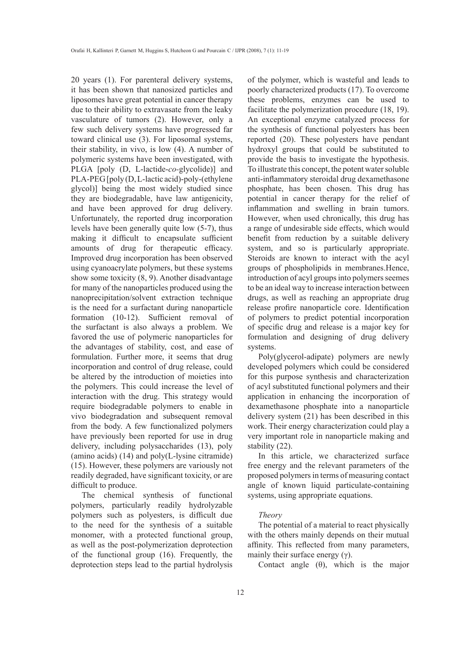20 years (1). For parenteral delivery systems, it has been shown that nanosized particles and liposomes have great potential in cancer therapy due to their ability to extravasate from the leaky vasculature of tumors (2). However, only a few such delivery systems have progressed far toward clinical use (3). For liposomal systems, their stability, in vivo, is low (4). A number of polymeric systems have been investigated, with PLGA [poly (D, L-lactide-*co-*glycolide)] and PLA-PEG [poly (D, L-lactic acid)-poly-(ethylene glycol)] being the most widely studied since they are biodegradable, have law antigenicity, and have been approved for drug delivery. Unfortunately, the reported drug incorporation levels have been generally quite low (5-7), thus making it difficult to encapsulate sufficient amounts of drug for therapeutic efficacy. Improved drug incorporation has been observed using cyanoacrylate polymers, but these systems show some toxicity (8, 9). Another disadvantage for many of the nanoparticles produced using the nanoprecipitation/solvent extraction technique is the need for a surfactant during nanoparticle formation (10-12). Sufficient removal of the surfactant is also always a problem. We favored the use of polymeric nanoparticles for the advantages of stability, cost, and ease of formulation. Further more, it seems that drug incorporation and control of drug release, could be altered by the introduction of moieties into the polymers. This could increase the level of interaction with the drug. This strategy would require biodegradable polymers to enable in vivo biodegradation and subsequent removal from the body. A few functionalized polymers have previously been reported for use in drug delivery, including polysaccharides (13), poly (amino acids) (14) and poly(L-lysine citramide) (15). However, these polymers are variously not readily degraded, have significant toxicity, or are difficult to produce.

The chemical synthesis of functional polymers, particularly readily hydrolyzable polymers such as polyesters, is difficult due to the need for the synthesis of a suitable monomer, with a protected functional group, as well as the post-polymerization deprotection of the functional group (16). Frequently, the deprotection steps lead to the partial hydrolysis of the polymer, which is wasteful and leads to poorly characterized products (17). To overcome these problems, enzymes can be used to facilitate the polymerization procedure (18, 19). An exceptional enzyme catalyzed process for the synthesis of functional polyesters has been reported (20). These polyesters have pendant hydroxyl groups that could be substituted to provide the basis to investigate the hypothesis. To illustrate this concept, the potent water soluble anti-inflammatory steroidal drug dexamethasone phosphate, has been chosen. This drug has potential in cancer therapy for the relief of inflammation and swelling in brain tumors. However, when used chronically, this drug has a range of undesirable side effects, which would benefit from reduction by a suitable delivery system, and so is particularly appropriate. Steroids are known to interact with the acyl groups of phospholipids in membranes.Hence, introduction of acyl groups into polymers seemes to be an ideal way to increase interaction between drugs, as well as reaching an appropriate drug release profire nanoparticle core. Identification of polymers to predict potential incorporation of specific drug and release is a major key for formulation and designing of drug delivery systems.

Poly(glycerol-adipate) polymers are newly developed polymers which could be considered for this purpose synthesis and characterization of acyl substituted functional polymers and their application in enhancing the incorporation of dexamethasone phosphate into a nanoparticle delivery system (21) has been described in this work. Their energy characterization could play a very important role in nanoparticle making and stability (22).

In this article, we characterized surface free energy and the relevant parameters of the proposed polymers in terms of measuring contact angle of known liquid particulate-containing systems, using appropriate equations.

#### *Theory*

The potential of a material to react physically with the others mainly depends on their mutual affinity. This reflected from many parameters, mainly their surface energy  $(\gamma)$ .

Contact angle  $(\theta)$ , which is the major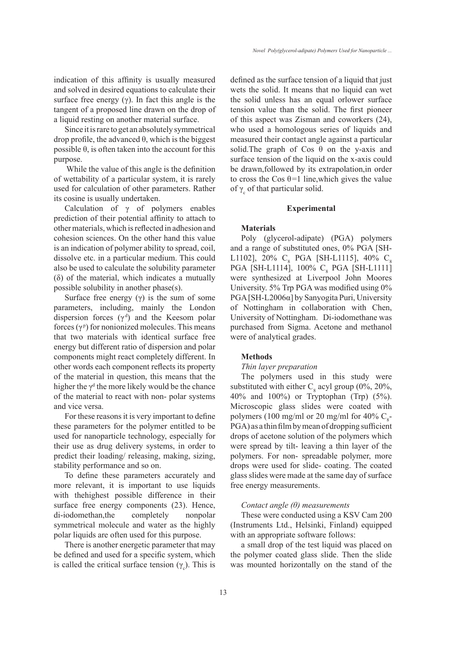indication of this affinity is usually measured and solved in desired equations to calculate their surface free energy  $(y)$ . In fact this angle is the tangent of a proposed line drawn on the drop of a liquid resting on another material surface.

Since it is rare to get an absolutely symmetrical drop profile, the advanced θ, which is the biggest possible  $\theta$ , is often taken into the account for this purpose.

 While the value of this angle is the definition of wettability of a particular system, it is rarely used for calculation of other parameters. Rather its cosine is usually undertaken.

Calculation of  $\gamma$  of polymers enables prediction of their potential affinity to attach to other materials, which is reflected in adhesion and cohesion sciences. On the other hand this value is an indication of polymer ability to spread, coil, dissolve etc. in a particular medium. This could also be used to calculate the solubility parameter (δ) of the material, which indicates a mutually possible solubility in another phase(s).

Surface free energy  $(\gamma)$  is the sum of some parameters, including, mainly the London dispersion forces  $(\gamma^d)$  and the Keesom polar forces  $(\gamma^p)$  for nonionized molecules. This means that two materials with identical surface free energy but different ratio of dispersion and polar components might react completely different. In other words each component reflects its property of the material in question, this means that the higher the  $\gamma^d$  the more likely would be the chance of the material to react with non- polar systems and vice versa.

For these reasons it is very important to define these parameters for the polymer entitled to be used for nanoparticle technology, especially for their use as drug delivery systems, in order to predict their loading/ releasing, making, sizing, stability performance and so on.

To define these parameters accurately and more relevant, it is important to use liquids with thehighest possible difference in their surface free energy components (23). Hence, di-iodomethan,the completely nonpolar symmetrical molecule and water as the highly polar liquids are often used for this purpose.

There is another energetic parameter that may be defined and used for a specific system, which is called the critical surface tension  $(\gamma_c)$ . This is defined as the surface tension of a liquid that just wets the solid. It means that no liquid can wet the solid unless has an equal orlower surface tension value than the solid. The first pioneer of this aspect was Zisman and coworkers (24), who used a homologous series of liquids and measured their contact angle against a particular solid. The graph of Cos  $\theta$  on the y-axis and surface tension of the liquid on the x-axis could be drawn,followed by its extrapolation,in order to cross the Cos  $\theta$ =1 line, which gives the value of  $\gamma_c$  of that particular solid.

#### **Experimental**

#### **Materials**

Poly (glycerol-adipate) (PGA) polymers and a range of substituted ones, 0% PGA [SH-L1102], 20%  $C_{8}$  PGA [SH-L1115], 40%  $C_{8}$  $PGA$  [SH-L1114], 100%  $C_8$  PGA [SH-L1111] were synthesized at Liverpool John Moores University. 5% Trp PGA was modified using 0% PGA [SH-L2006α] by Sanyogita Puri, University of Nottingham in collaboration with Chen, University of Nottingham. Di-iodomethane was purchased from Sigma. Acetone and methanol were of analytical grades.

## **Methods**

#### *Thin layer preparation*

The polymers used in this study were substituted with either  $C_8$  acyl group (0%, 20%, 40% and 100%) or Tryptophan (Trp) (5%). Microscopic glass slides were coated with polymers (100 mg/ml or 20 mg/ml for 40%  $C_{\rm s}$ -PGA) as a thin film by mean of dropping sufficient drops of acetone solution of the polymers which were spread by tilt- leaving a thin layer of the polymers. For non- spreadable polymer, more drops were used for slide- coating. The coated glass slides were made at the same day of surface free energy measurements.

## *Contact angle (θ) measurements*

These were conducted using a KSV Cam 200 (Instruments Ltd., Helsinki, Finland) equipped with an appropriate software follows:

a small drop of the test liquid was placed on the polymer coated glass slide. Then the slide was mounted horizontally on the stand of the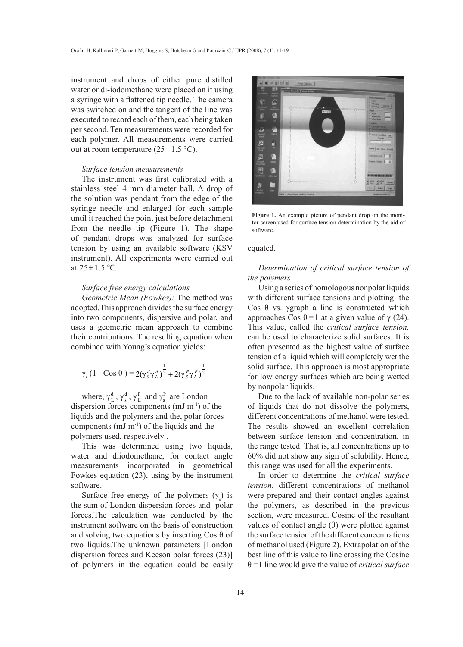instrument and drops of either pure distilled water or di-iodomethane were placed on it using a syringe with a flattened tip needle. The camera was switched on and the tangent of the line was executed to record each of them, each being taken per second. Ten measurements were recorded for each polymer. All measurements were carried out at room temperature  $(25 \pm 1.5 \degree C)$ .

#### *Surface tension measurements*

The instrument was first calibrated with a stainless steel 4 mm diameter ball. A drop of the solution was pendant from the edge of the syringe needle and enlarged for each sample until it reached the point just before detachment from the needle tip (Figure 1). The shape of pendant drops was analyzed for surface tension by using an available software (KSV instrument). All experiments were carried out at  $25 \pm 1.5$  °C.

## *Surface free energy calculations*

*Geometric Mean (Fowkes):* The method was adopted.This approach divides the surface energy into two components, dispersive and polar, and uses a geometric mean approach to combine their contributions. The resulting equation when combined with Young's equation yields:

$$
\gamma_L (1 + \cos \theta) = 2(\gamma_S^d \gamma_L^d)^{\frac{1}{2}} + 2(\gamma_S^P \gamma_L^P)^{\frac{1}{2}}
$$

where,  $\gamma_L^d$ ,  $\gamma_s^d$ ,  $\gamma_L^P$  and  $\gamma_s^P$  are London dispersion forces components (mJ m<sup>-1</sup>) of the liquids and the polymers and the, polar forces components (mJ m-1) of the liquids and the polymers used, respectively .

This was determined using two liquids, water and diiodomethane, for contact angle measurements incorporated in geometrical Fowkes equation (23), using by the instrument software.

Surface free energy of the polymers  $(\gamma_s)$  is the sum of London dispersion forces and polar forces.The calculation was conducted by the instrument software on the basis of construction and solving two equations by inserting  $\cos \theta$  of two liquids.The unknown parameters [London dispersion forces and Keeson polar forces (23)] of polymers in the equation could be easily



Figure 1. An example picture of pendant drop on the monitor screen,used for surface tension determination by the aid of software.

## equated.

## *Determination of critical surface tension of the polymers*

Using a series of homologous nonpolar liquids with different surface tensions and plotting the Cos θ vs. γgraph a line is constructed which approaches Cos θ = 1 at a given value of  $\gamma$  (24). This value, called the *critical surface tension,* can be used to characterize solid surfaces. It is often presented as the highest value of surface tension of a liquid which will completely wet the solid surface. This approach is most appropriate for low energy surfaces which are being wetted by nonpolar liquids.

Due to the lack of available non-polar series of liquids that do not dissolve the polymers, different concentrations of methanol were tested. The results showed an excellent correlation between surface tension and concentration, in the range tested. That is, all concentrations up to 60% did not show any sign of solubility. Hence, this range was used for all the experiments.

In order to determine the *critical surface tension*, different concentrations of methanol were prepared and their contact angles against the polymers, as described in the previous section, were measured. Cosine of the resultant values of contact angle (θ) were plotted against the surface tension of the different concentrations of methanol used (Figure 2). Extrapolation of the best line of this value to line crossing the Cosine θ =1 line would give the value of *critical surface*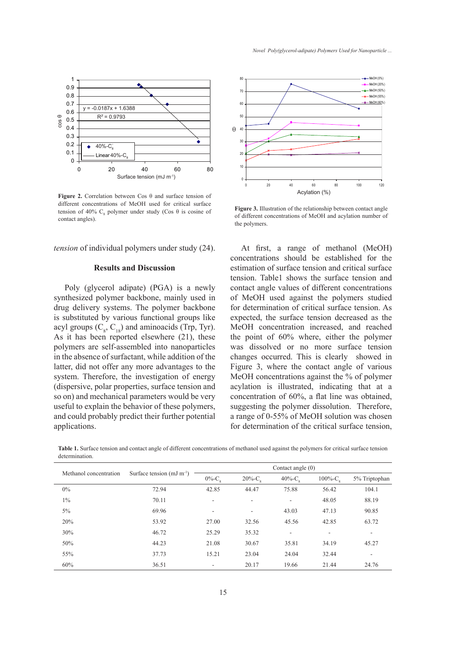

**Figure 2.** Correlation between Cos θ and surface tension of different concentrations of MeOH used for critical surface tension of 40%  $C_8$  polymer under study (Cos  $\theta$  is cosine of contact angles).

*tension* of individual polymers under study (24).

## **Results and Discussion**

Poly (glycerol adipate) (PGA) is a newly synthesized polymer backbone, mainly used in drug delivery systems. The polymer backbone is substituted by various functional groups like acyl groups  $(C_8, C_{18})$  and aminoacids (Trp, Tyr). As it has been reported elsewhere (21), these polymers are self-assembled into nanoparticles in the absence of surfactant, while addition of the latter, did not offer any more advantages to the system. Therefore, the investigation of energy (dispersive, polar properties, surface tension and so on) and mechanical parameters would be very useful to explain the behavior of these polymers, and could probably predict their further potential applications.



**Figure 3.** Illustration of the relationship between contact angle of different concentrations of MeOH and acylation number of the polymers.

At first, a range of methanol (MeOH) concentrations should be established for the estimation of surface tension and critical surface tension. Table1 shows the surface tension and contact angle values of different concentrations of MeOH used against the polymers studied for determination of critical surface tension. As expected, the surface tension decreased as the MeOH concentration increased, and reached the point of 60% where, either the polymer was dissolved or no more surface tension changes occurred. This is clearly showed in Figure 3, where the contact angle of various MeOH concentrations against the % of polymer acylation is illustrated, indicating that at a concentration of 60%, a flat line was obtained, suggesting the polymer dissolution. Therefore, a range of 0-55% of MeOH solution was chosen for determination of the critical surface tension,

**Table 1.** Surface tension and contact angle of different concentrations of methanol used against the polymers for critical surface tension determination.

| Methanol concentration | Surface tension $(mJ m-1)$ | Contact angle $(0)$      |                          |                          |                         |                          |  |
|------------------------|----------------------------|--------------------------|--------------------------|--------------------------|-------------------------|--------------------------|--|
|                        |                            | $0\%$ -C.                | $20\%$ -C <sub>o</sub>   | $40\%$ -C.               | $100\%$ -C <sub>o</sub> | 5% Triptophan            |  |
| $0\%$                  | 72.94                      | 42.85                    | 44.47                    | 75.88                    | 56.42                   | 104.1                    |  |
| $1\%$                  | 70.11                      | $\overline{\phantom{a}}$ | $\overline{\phantom{a}}$ | $\sim$                   | 48.05                   | 88.19                    |  |
| 5%                     | 69.96                      | $\overline{\phantom{a}}$ | $\overline{\phantom{a}}$ | 43.03                    | 47.13                   | 90.85                    |  |
| 20%                    | 53.92                      | 27.00                    | 32.56                    | 45.56                    | 42.85                   | 63.72                    |  |
| 30%                    | 46.72                      | 25.29                    | 35.32                    | $\overline{\phantom{a}}$ | ٠                       | $\overline{\phantom{a}}$ |  |
| 50%                    | 44.23                      | 21.08                    | 30.67                    | 35.81                    | 34.19                   | 45.27                    |  |
| 55%                    | 37.73                      | 15.21                    | 23.04                    | 24.04                    | 32.44                   | $\overline{\phantom{a}}$ |  |
| 60%                    | 36.51                      | $\overline{\phantom{a}}$ | 20.17                    | 19.66                    | 21.44                   | 24.76                    |  |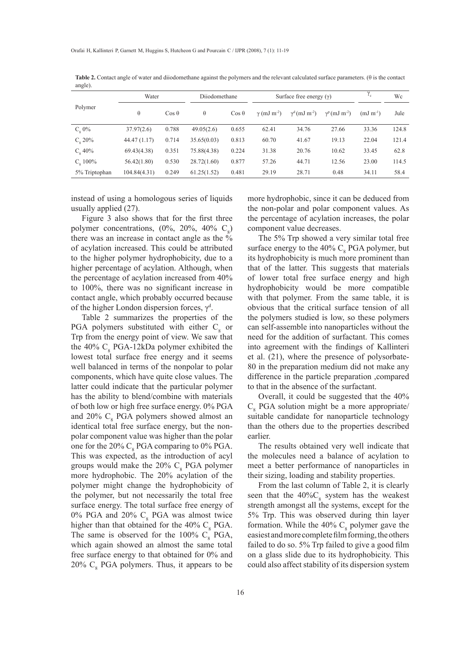|                  | Water        |               | Diiodomethane |               | Surface free energy $(y)$      |                                  |                                  | $^{\prime}$ c    | Wс    |
|------------------|--------------|---------------|---------------|---------------|--------------------------------|----------------------------------|----------------------------------|------------------|-------|
| Polymer          | $\theta$     | $\cos \theta$ | $\theta$      | $\cos \theta$ | $\gamma$ (mJ m <sup>-2</sup> ) | $\gamma^d$ (mJ m <sup>-2</sup> ) | $\gamma^p$ (mJ m <sup>-2</sup> ) | $(mJ \, m^{-1})$ | Jule  |
| $C_{o}$ 0%       | 37.97(2.6)   | 0.788         | 49.05(2.6)    | 0.655         | 62.41                          | 34.76                            | 27.66                            | 33.36            | 124.8 |
| $C_{\rm o} 20\%$ | 44.47(1.17)  | 0.714         | 35.65(0.03)   | 0.813         | 60.70                          | 41.67                            | 19.13                            | 22.04            | 121.4 |
| $C_{o}$ 40%      | 69.43(4.38)  | 0.351         | 75.88(4.38)   | 0.224         | 31.38                          | 20.76                            | 10.62                            | 33.45            | 62.8  |
| $C_{0}$ 100%     | 56.42(1.80)  | 0.530         | 28.72(1.60)   | 0.877         | 57.26                          | 44.71                            | 12.56                            | 23.00            | 114.5 |
| 5% Triptophan    | 104.84(4.31) | 0.249         | 61.25(1.52)   | 0.481         | 29.19                          | 28.71                            | 0.48                             | 34.11            | 58.4  |

**Table 2.** Contact angle of water and diiodomethane against the polymers and the relevant calculated surface parameters. (θ is the contact angle).

instead of using a homologous series of liquids usually applied (27).

Figure 3 also shows that for the first three polymer concentrations,  $(0\%, 20\%, 40\% \, \text{C}_8)$ there was an increase in contact angle as the % of acylation increased. This could be attributed to the higher polymer hydrophobicity, due to a higher percentage of acylation. Although, when the percentage of acylation increased from 40% to 100%, there was no significant increase in contact angle, which probably occurred because of the higher London dispersion forces,  $\gamma^d$ .

Table 2 summarizes the properties of the PGA polymers substituted with either  $C_8$  or Trp from the energy point of view. We saw that the 40%  $C_8$  PGA-12kDa polymer exhibited the lowest total surface free energy and it seems well balanced in terms of the nonpolar to polar components, which have quite close values. The latter could indicate that the particular polymer has the ability to blend/combine with materials of both low or high free surface energy. 0% PGA and  $20\%$  C<sub>8</sub> PGA polymers showed almost an identical total free surface energy, but the nonpolar component value was higher than the polar one for the 20%  $C_8$  PGA comparing to 0% PGA. This was expected, as the introduction of acyl groups would make the  $20\%$  C<sub>8</sub> PGA polymer more hydrophobic. The 20% acylation of the polymer might change the hydrophobicity of the polymer, but not necessarily the total free surface energy. The total surface free energy of 0% PGA and 20%  $C_8$  PGA was almost twice higher than that obtained for the  $40\%$  C<sub>8</sub> PGA. The same is observed for the 100%  $C_8$  PGA, which again showed an almost the same total free surface energy to that obtained for 0% and  $20\%$  C<sub>8</sub> PGA polymers. Thus, it appears to be more hydrophobic, since it can be deduced from the non-polar and polar component values. As the percentage of acylation increases, the polar component value decreases.

The 5% Trp showed a very similar total free surface energy to the 40%  $C_8$  PGA polymer, but its hydrophobicity is much more prominent than that of the latter. This suggests that materials of lower total free surface energy and high hydrophobicity would be more compatible with that polymer. From the same table, it is obvious that the critical surface tension of all the polymers studied is low, so these polymers can self-assemble into nanoparticles without the need for the addition of surfactant. This comes into agreement with the findings of Kallinteri et al. (21), where the presence of polysorbate-80 in the preparation medium did not make any difference in the particle preparation ,compared to that in the absence of the surfactant.

Overall, it could be suggested that the 40%  $C_8$  PGA solution might be a more appropriate/ suitable candidate for nanoparticle technology than the others due to the properties described earlier.

The results obtained very well indicate that the molecules need a balance of acylation to meet a better performance of nanoparticles in their sizing, loading and stability properties.

From the last column of Table 2, it is clearly seen that the  $40\%C_8$  system has the weakest strength amongst all the systems, except for the 5% Trp. This was observed during thin layer formation. While the 40%  $C_8$  polymer gave the easiest and more complete film forming, the others failed to do so. 5% Trp failed to give a good film on a glass slide due to its hydrophobicity. This could also affect stability of its dispersion system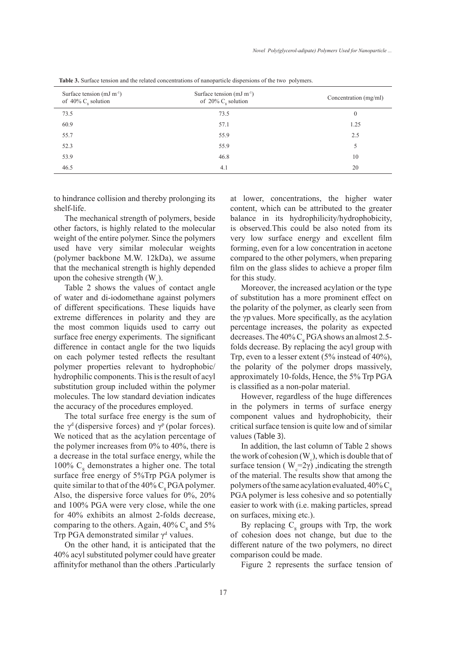| Surface tension $(mJ m^{-1})$<br>of $40\%$ C <sub>s</sub> solution | Surface tension $(mJ m^{-1})$<br>of 20% $C_{\rm g}$ solution | Concentration (mg/ml) |  |  |
|--------------------------------------------------------------------|--------------------------------------------------------------|-----------------------|--|--|
| 73.5                                                               | 73.5                                                         | $\overline{0}$        |  |  |
| 60.9                                                               | 57.1                                                         | 1.25                  |  |  |
| 55.7                                                               | 55.9                                                         | 2.5                   |  |  |
| 52.3                                                               | 55.9                                                         | 5                     |  |  |
| 53.9                                                               | 46.8                                                         | 10                    |  |  |
| 46.5                                                               | 4.1                                                          | 20                    |  |  |
|                                                                    |                                                              |                       |  |  |

**Table 3.** Surface tension and the related concentrations of nanoparticle dispersions of the two polymers.

to hindrance collision and thereby prolonging its shelf-life.

The mechanical strength of polymers, beside other factors, is highly related to the molecular weight of the entire polymer. Since the polymers used have very similar molecular weights (polymer backbone M.W. 12kDa), we assume that the mechanical strength is highly depended upon the cohesive strength  $(W_c)$ .

Table 2 shows the values of contact angle of water and di-iodomethane against polymers of different specifications. These liquids have extreme differences in polarity and they are the most common liquids used to carry out surface free energy experiments. The significant difference in contact angle for the two liquids on each polymer tested reflects the resultant polymer properties relevant to hydrophobic/ hydrophilic components. This is the result of acyl substitution group included within the polymer molecules. The low standard deviation indicates the accuracy of the procedures employed.

The total surface free energy is the sum of the  $\gamma^d$  (dispersive forces) and  $\gamma^p$  (polar forces). We noticed that as the acylation percentage of the polymer increases from 0% to 40%, there is a decrease in the total surface energy, while the 100%  $C_8$  demonstrates a higher one. The total surface free energy of 5%Trp PGA polymer is quite similar to that of the  $40\%$  C<sub>s</sub>PGA polymer. Also, the dispersive force values for 0%, 20% and 100% PGA were very close, while the one for 40% exhibits an almost 2-folds decrease, comparing to the others. Again,  $40\%$  C<sub>8</sub> and 5% Trp PGA demonstrated similar  $\gamma^d$  values.

On the other hand, it is anticipated that the 40% acyl substituted polymer could have greater affinityfor methanol than the others .Particularly at lower, concentrations, the higher water content, which can be attributed to the greater balance in its hydrophilicity/hydrophobicity, is observed.This could be also noted from its very low surface energy and excellent film forming, even for a low concentration in acetone compared to the other polymers, when preparing film on the glass slides to achieve a proper film for this study.

Moreover, the increased acylation or the type of substitution has a more prominent effect on the polarity of the polymer, as clearly seen from the γp values. More specifically, as the acylation percentage increases, the polarity as expected decreases. The  $40\%$  C<sub>8</sub> PGA shows an almost 2.5folds decrease. By replacing the acyl group with Trp, even to a lesser extent (5% instead of 40%), the polarity of the polymer drops massively, approximately 10-folds, Hence, the 5% Trp PGA is classified as a non-polar material.

However, regardless of the huge differences in the polymers in terms of surface energy component values and hydrophobicity, their critical surface tension is quite low and of similar values (Table 3).

In addition, the last column of Table 2 shows the work of cohesion (W<sub>c</sub>), which is double that of surface tension ( $W_c = 2\gamma$ ), indicating the strength of the material. The results show that among the polymers of the same acylation evaluated,  $40\%$  C<sub>s</sub> PGA polymer is less cohesive and so potentially easier to work with (i.e. making particles, spread on surfaces, mixing etc.).

By replacing  $C_8$  groups with Trp, the work of cohesion does not change, but due to the different nature of the two polymers, no direct comparison could be made.

Figure 2 represents the surface tension of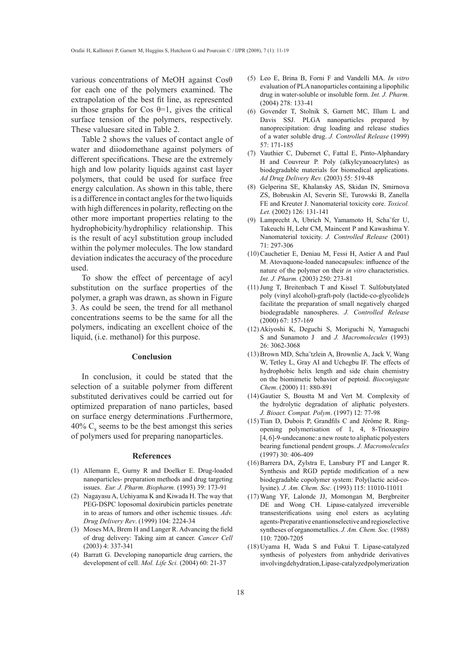various concentrations of MeOH against Cosθ for each one of the polymers examined. The extrapolation of the best fit line, as represented in those graphs for Cos  $\theta$ =1, gives the critical surface tension of the polymers, respectively. These valuesare sited in Table 2.

Table 2 shows the values of contact angle of water and diiodomethane against polymers of different specifications. These are the extremely high and low polarity liquids against cast layer polymers, that could be used for surface free energy calculation. As shown in this table, there is a difference in contact angles for the two liquids with high differences in polarity, reflecting on the other more important properties relating to the hydrophobicity/hydrophilicy relationship. This is the result of acyl substitution group included within the polymer molecules. The low standard deviation indicates the accuracy of the procedure used.

To show the effect of percentage of acyl substitution on the surface properties of the polymer, a graph was drawn, as shown in Figure 3. As could be seen, the trend for all methanol concentrations seems to be the same for all the polymers, indicating an excellent choice of the liquid, (i.e. methanol) for this purpose.

## **Conclusion**

In conclusion, it could be stated that the selection of a suitable polymer from different substituted derivatives could be carried out for optimized preparation of nano particles, based on surface energy determinations .Furthermore, 40%  $C_8$  seems to be the best amongst this series of polymers used for preparing nanoparticles.

#### **References**

- Allemann E, Gurny R and Doelker E. Drug-loaded (1) nanoparticles- preparation methods and drug targeting issues. *Eur. J. Pharm. Biopharm.* (1993) 39: 173-91
- (2) Nagayasu A, Uchiyama K and Kiwada H. The way that PEG-DSPC loposomal doxirubicin particles penetrate in to areas of tumors and other ischemic tissues. *Adv. Drug Delivery Rev*. (1999) 104: 2224-34
- (3) Moses MA, Brem H and Langer R. Advancing the field of drug delivery: Taking aim at cancer. *Cancer Cell*  (2003) 4: 337-341
- (4) Barratt G. Developing nanoparticle drug carriers, the development of cell. *Mol. Life Sci.* (2004) 60: 21-37
- Leo E, Brina B, Forni F and Vandelli MA. *In vitro* (5) evaluation of PLA nanoparticles containing a lipophilic drug in water-soluble or insoluble form. *Int. J. Pharm.*  (2004) 278: 133-41
- Govender T, Stolnik S, Garnett MC, Illum L and (6) Davis SSJ. PLGA nanoparticles prepared by nanoprecipitation: drug loading and release studies of a water soluble drug. *J. Controlled Release* (1999) 57: 171-185
- $(7)$  Vauthier C, Dubernet C, Fattal E, Pinto-Alphandary H and Couvreur P. Poly (alkylcyanoacrylates) as biodegradable materials for biomedical applications. *Ad Drug Delivery Rev.* (2003) 55: 519-48
- Gelperina SE, Khalansky AS, Skidan IN, Smirnova (8) ZS, Bobruskin AI, Severin SE, Turowski B, Zanella FE and Kreuter J. Nanomaterial toxicity core. *Toxicol. Let.* (2002) 126: 131-141
- Lamprecht A, Ubrich N, Yamamoto H, Scha¨fer U, (9) Takeuchi H, Lehr CM, Maincent P and Kawashima Y. Nanomaterial toxicity. *J. Controlled Release* (2001) 71: 297-306
- $(10)$  Cauchetier E, Deniau M, Fessi H, Astier A and Paul M. Atovaquone-loaded nanocapsules: influence of the nature of the polymer on their *in vitro* characteristics. *Int. J. Pharm.* (2003) 250: 273-81
- $(11)$  Jung T, Breitenbach T and Kissel T. Sulfobutylated poly (vinyl alcohol)-graft-poly (lactide-co-glycolide)s facilitate the preparation of small negatively charged biodegradable nanospheres. *J. Controlled Release* (2000) 67: 157-169
- Akiyoshi K, Deguchi S, Moriguchi N, Yamaguchi (12) S and Sunamoto J and *J. Macromolecules* (1993) 26: 3062-3068
- (13) Brown MD, Scha tzlein A, Brownlie A, Jack V, Wang W, Tetley L, Gray AI and Uchegbu IF. The effects of hydrophobic helix length and side chain chemistry on the biomimetic behavior of peptoid. *Bioconjugate Chem*. (2000) 11: 880-891
- $(14)$  Gautier S, Boustta M and Vert M. Complexity of the hydrolytic degradation of aliphatic polyesters. *J. Bioact. Compat. Polym*. (1997) 12: 77-98
- $(15)$  Tian D, Dubois P, Grandfils C and Jérôme R. Ringopening polymerisation of 1, 4, 8-Trioxaspiro [4, 6]-9-undecanone: a new route to aliphatic polyesters bearing functional pendent groups. *J*. *Macromolecules* (1997) 30: 406-409
- $(16)$  Barrera DA, Zylstra E, Lansbury PT and Langer R. Synthesis and RGD peptide modification of a new biodegradable copolymer system: Poly(lactic acid-colysine). *J. Am. Chem. Soc.* (1993) 115: 11010-11011
- Wang YF, Lalonde JJ, Momongan M, Bergbreiter (17) DE and Wong CH. Lipase-catalyzed irreversible transesterifications using enol esters as acylating agents-Preparative enantionselective and regioselective syntheses of organometallics. *J. Am. Chem. Soc.* (1988) 110: 7200-7205
- (18) Uyama H, Wada S and Fukui T. Lipase-catalyzed synthesis of polyesters from anhydride derivatives involving dehydration, Lipase-catalyzed polymerization